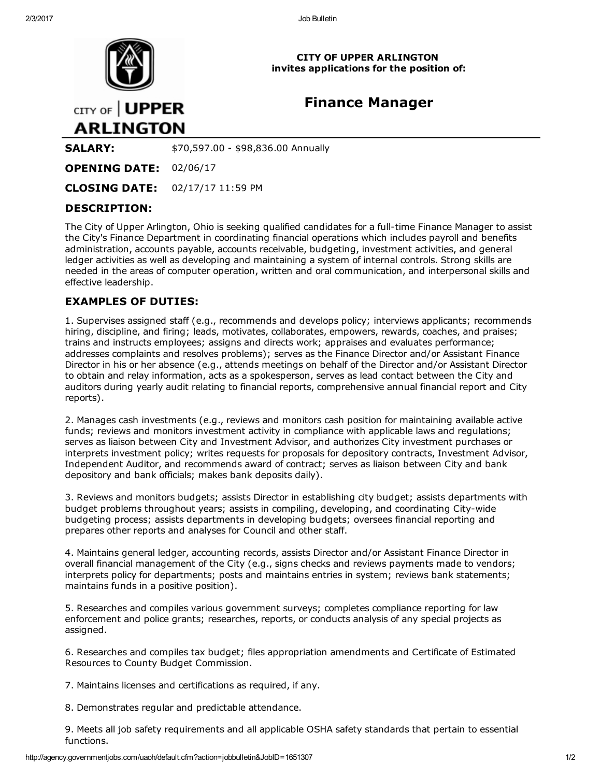

CITY OF UPPER ARLINGTON invites applications for the position of:

# Finance Manager

CITY OF | UPPER **ARLINGTON** 

**SALARY:**  $$70,597.00 - $98,836.00$  Annually

OPENING DATE: 02/06/17

CLOSING DATE: 02/17/17 11:59 PM

# DESCRIPTION:

The City of Upper Arlington, Ohio is seeking qualified candidates for a full-time Finance Manager to assist the City's Finance Department in coordinating financial operations which includes payroll and benefits administration, accounts payable, accounts receivable, budgeting, investment activities, and general ledger activities as well as developing and maintaining a system of internal controls. Strong skills are needed in the areas of computer operation, written and oral communication, and interpersonal skills and effective leadership.

# EXAMPLES OF DUTIES:

1. Supervises assigned staff (e.g., recommends and develops policy; interviews applicants; recommends hiring, discipline, and firing; leads, motivates, collaborates, empowers, rewards, coaches, and praises; trains and instructs employees; assigns and directs work; appraises and evaluates performance; addresses complaints and resolves problems); serves as the Finance Director and/or Assistant Finance Director in his or her absence (e.g., attends meetings on behalf of the Director and/or Assistant Director to obtain and relay information, acts as a spokesperson, serves as lead contact between the City and auditors during yearly audit relating to financial reports, comprehensive annual financial report and City reports).

2. Manages cash investments (e.g., reviews and monitors cash position for maintaining available active funds; reviews and monitors investment activity in compliance with applicable laws and regulations; serves as liaison between City and Investment Advisor, and authorizes City investment purchases or interprets investment policy; writes requests for proposals for depository contracts, Investment Advisor, Independent Auditor, and recommends award of contract; serves as liaison between City and bank depository and bank officials; makes bank deposits daily).

3. Reviews and monitors budgets; assists Director in establishing city budget; assists departments with budget problems throughout years; assists in compiling, developing, and coordinating City-wide budgeting process; assists departments in developing budgets; oversees financial reporting and prepares other reports and analyses for Council and other staff.

4. Maintains general ledger, accounting records, assists Director and/or Assistant Finance Director in overall financial management of the City (e.g., signs checks and reviews payments made to vendors; interprets policy for departments; posts and maintains entries in system; reviews bank statements; maintains funds in a positive position).

5. Researches and compiles various government surveys; completes compliance reporting for law enforcement and police grants; researches, reports, or conducts analysis of any special projects as assigned.

6. Researches and compiles tax budget; files appropriation amendments and Certificate of Estimated Resources to County Budget Commission.

7. Maintains licenses and certifications as required, if any.

8. Demonstrates regular and predictable attendance.

9. Meets all job safety requirements and all applicable OSHA safety standards that pertain to essential functions.